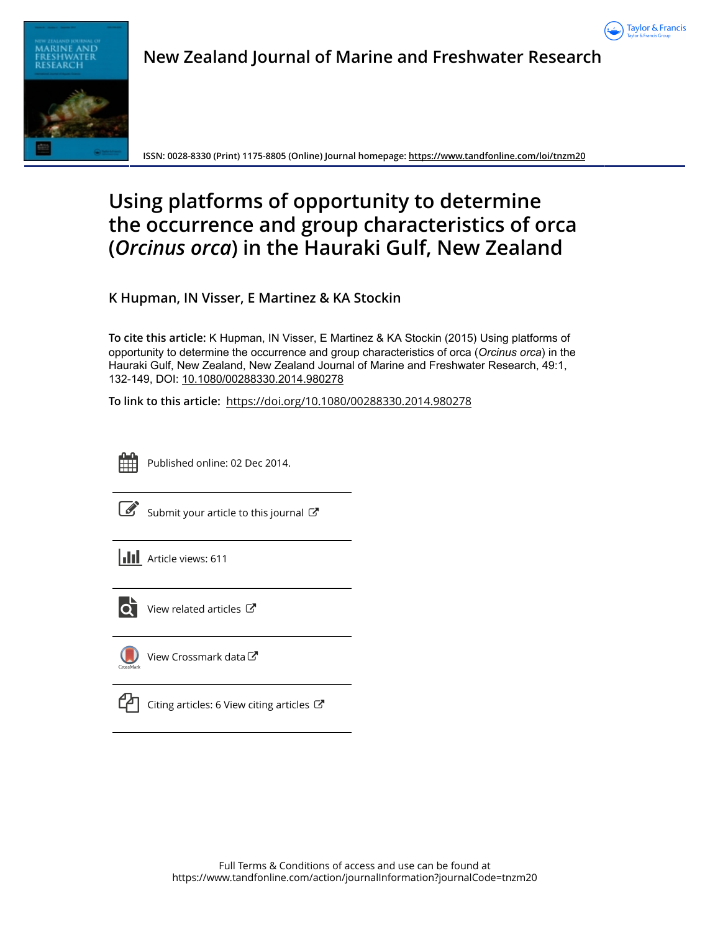





**ISSN: 0028-8330 (Print) 1175-8805 (Online) Journal homepage:<https://www.tandfonline.com/loi/tnzm20>**

# **Using platforms of opportunity to determine the occurrence and group characteristics of orca (***Orcinus orca***) in the Hauraki Gulf, New Zealand**

**K Hupman, IN Visser, E Martinez & KA Stockin**

**To cite this article:** K Hupman, IN Visser, E Martinez & KA Stockin (2015) Using platforms of opportunity to determine the occurrence and group characteristics of orca (*Orcinus orca*) in the Hauraki Gulf, New Zealand, New Zealand Journal of Marine and Freshwater Research, 49:1, 132-149, DOI: [10.1080/00288330.2014.980278](https://www.tandfonline.com/action/showCitFormats?doi=10.1080/00288330.2014.980278)

**To link to this article:** <https://doi.org/10.1080/00288330.2014.980278>



Published online: 02 Dec 2014.

|--|

[Submit your article to this journal](https://www.tandfonline.com/action/authorSubmission?journalCode=tnzm20&show=instructions)  $\mathbb{Z}$ 





 $\overrightarrow{Q}$  [View related articles](https://www.tandfonline.com/doi/mlt/10.1080/00288330.2014.980278)  $\overrightarrow{C}$ 



[View Crossmark data](http://crossmark.crossref.org/dialog/?doi=10.1080/00288330.2014.980278&domain=pdf&date_stamp=2014-12-02)<sup>で</sup>



[Citing articles: 6 View citing articles](https://www.tandfonline.com/doi/citedby/10.1080/00288330.2014.980278#tabModule)  $\mathbb{Z}$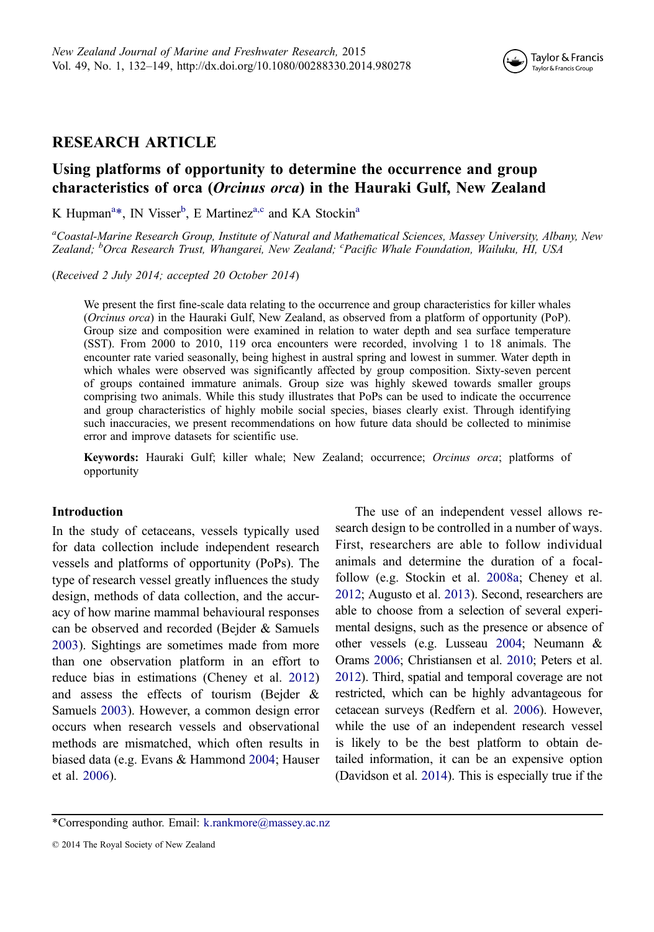

# RESEARCH ARTICLE

# Using platforms of opportunity to determine the occurrence and group characteristics of orca (Orcinus orca) in the Hauraki Gulf, New Zealand

K Hupman<sup>a</sup>\*, IN Visser<sup>b</sup>, E Martinez<sup>a,c</sup> and KA Stockin<sup>a</sup>

<sup>a</sup>Coastal-Marine Research Group, Institute of Natural and Mathematical Sciences, Massey University, Albany, New Zealand; <sup>b</sup>Orca Research Trust, Whangarei, New Zealand; <sup>c</sup>Pacific Whale Foundation, Wailuku, HI, USA

(Received 2 July 2014; accepted 20 October 2014)

We present the first fine-scale data relating to the occurrence and group characteristics for killer whales (Orcinus orca) in the Hauraki Gulf, New Zealand, as observed from a platform of opportunity (PoP). Group size and composition were examined in relation to water depth and sea surface temperature (SST). From 2000 to 2010, 119 orca encounters were recorded, involving 1 to 18 animals. The encounter rate varied seasonally, being highest in austral spring and lowest in summer. Water depth in which whales were observed was significantly affected by group composition. Sixty-seven percent of groups contained immature animals. Group size was highly skewed towards smaller groups comprising two animals. While this study illustrates that PoPs can be used to indicate the occurrence and group characteristics of highly mobile social species, biases clearly exist. Through identifying such inaccuracies, we present recommendations on how future data should be collected to minimise error and improve datasets for scientific use.

Keywords: Hauraki Gulf; killer whale; New Zealand; occurrence; Orcinus orca; platforms of opportunity

## Introduction

In the study of cetaceans, vessels typically used for data collection include independent research vessels and platforms of opportunity (PoPs). The type of research vessel greatly influences the study design, methods of data collection, and the accuracy of how marine mammal behavioural responses can be observed and recorded (Bejder & Samuels [2003](#page-14-0)). Sightings are sometimes made from more than one observation platform in an effort to reduce bias in estimations (Cheney et al. [2012\)](#page-14-0) and assess the effects of tourism (Bejder & Samuels [2003](#page-14-0)). However, a common design error occurs when research vessels and observational methods are mismatched, which often results in biased data (e.g. Evans & Hammond [2004;](#page-15-0) Hauser et al. [2006\)](#page-15-0).

The use of an independent vessel allows research design to be controlled in a number of ways. First, researchers are able to follow individual animals and determine the duration of a focalfollow (e.g. Stockin et al. [2008a;](#page-17-0) Cheney et al. [2012;](#page-14-0) Augusto et al. [2013\)](#page-14-0). Second, researchers are able to choose from a selection of several experimental designs, such as the presence or absence of other vessels (e.g. Lusseau [2004;](#page-16-0) Neumann & Orams [2006;](#page-16-0) Christiansen et al. [2010](#page-14-0); Peters et al. [2012\)](#page-17-0). Third, spatial and temporal coverage are not restricted, which can be highly advantageous for cetacean surveys (Redfern et al. [2006](#page-17-0)). However, while the use of an independent research vessel is likely to be the best platform to obtain de‐ tailed information, it can be an expensive option (Davidson et al. [2014\)](#page-15-0). This is especially true if the

<sup>\*</sup>Corresponding author. Email: [k.rankmore@massey.ac.nz](mailto:k.rankmore@massey.ac.nz)

<sup>© 2014</sup> The Royal Society of New Zealand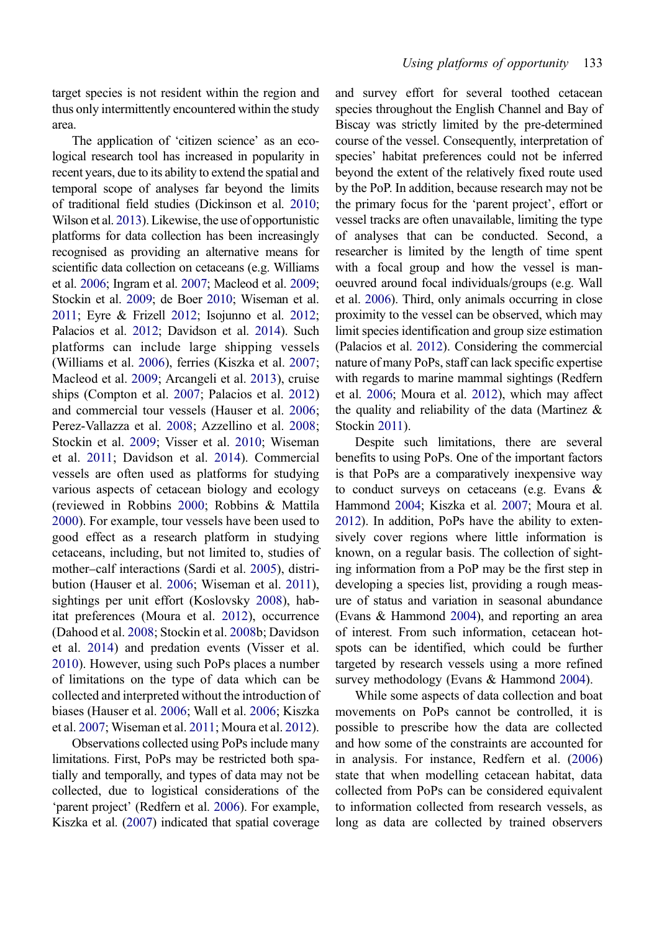target species is not resident within the region and thus only intermittently encountered within the study area.

The application of 'citizen science' as an ecological research tool has increased in popularity in recent years, due to its ability to extend the spatial and temporal scope of analyses far beyond the limits of traditional field studies (Dickinson et al. [2010](#page-15-0); Wilson et al. [2013](#page-18-0)). Likewise, the use of opportunistic platforms for data collection has been increasingly recognised as providing an alternative means for scientific data collection on cetaceans (e.g. Williams et al. [2006;](#page-18-0) Ingram et al. [2007](#page-15-0); Macleod et al. [2009](#page-16-0); Stockin et al. [2009;](#page-17-0) de Boer [2010](#page-15-0); Wiseman et al. [2011](#page-18-0); Eyre & Frizell [2012;](#page-15-0) Isojunno et al. [2012](#page-16-0); Palacios et al. [2012](#page-16-0); Davidson et al. [2014\)](#page-15-0). Such platforms can include large shipping vessels (Williams et al. [2006](#page-18-0)), ferries (Kiszka et al. [2007](#page-16-0); Macleod et al. [2009](#page-16-0); Arcangeli et al. [2013\)](#page-14-0), cruise ships (Compton et al. [2007](#page-15-0); Palacios et al. [2012\)](#page-16-0) and commercial tour vessels (Hauser et al. [2006](#page-15-0); Perez-Vallazza et al. [2008;](#page-17-0) Azzellino et al. [2008](#page-14-0); Stockin et al. [2009;](#page-17-0) Visser et al. [2010](#page-17-0); Wiseman et al. [2011](#page-18-0); Davidson et al. [2014\)](#page-15-0). Commercial vessels are often used as platforms for studying various aspects of cetacean biology and ecology (reviewed in Robbins [2000](#page-17-0); Robbins & Mattila [2000](#page-17-0)). For example, tour vessels have been used to good effect as a research platform in studying cetaceans, including, but not limited to, studies of mother–calf interactions (Sardi et al. [2005\)](#page-17-0), distribution (Hauser et al. [2006;](#page-15-0) Wiseman et al. [2011](#page-18-0)), sightings per unit effort (Koslovsky [2008](#page-16-0)), habitat preferences (Moura et al. [2012](#page-16-0)), occurrence (Dahood et al. [2008](#page-15-0); Stockin et al. [2008](#page-17-0)b; Davidson et al. [2014](#page-15-0)) and predation events (Visser et al. [2010](#page-17-0)). However, using such PoPs places a number of limitations on the type of data which can be collected and interpreted without the introduction of biases (Hauser et al. [2006;](#page-15-0) Wall et al. [2006](#page-18-0); Kiszka et al. [2007](#page-16-0); Wiseman et al. [2011;](#page-18-0) Moura et al. [2012](#page-16-0)).

Observations collected using PoPs include many limitations. First, PoPs may be restricted both spatially and temporally, and types of data may not be collected, due to logistical considerations of the 'parent project' (Redfern et al. [2006\)](#page-17-0). For example, Kiszka et al. [\(2007\)](#page-16-0) indicated that spatial coverage and survey effort for several toothed cetacean species throughout the English Channel and Bay of Biscay was strictly limited by the pre-determined course of the vessel. Consequently, interpretation of species' habitat preferences could not be inferred beyond the extent of the relatively fixed route used by the PoP. In addition, because research may not be the primary focus for the 'parent project', effort or vessel tracks are often unavailable, limiting the type of analyses that can be conducted. Second, a researcher is limited by the length of time spent with a focal group and how the vessel is manoeuvred around focal individuals/groups (e.g. Wall et al. [2006\)](#page-18-0). Third, only animals occurring in close proximity to the vessel can be observed, which may limit species identification and group size estimation (Palacios et al. [2012](#page-16-0)). Considering the commercial nature of many PoPs, staff can lack specific expertise with regards to marine mammal sightings (Redfern et al. [2006](#page-17-0); Moura et al. [2012\)](#page-16-0), which may affect the quality and reliability of the data (Martinez  $\&$ Stockin [2011](#page-16-0)).

Despite such limitations, there are several benefits to using PoPs. One of the important factors is that PoPs are a comparatively inexpensive way to conduct surveys on cetaceans (e.g. Evans & Hammond [2004;](#page-15-0) Kiszka et al. [2007](#page-16-0); Moura et al. [2012\)](#page-16-0). In addition, PoPs have the ability to extensively cover regions where little information is known, on a regular basis. The collection of sighting information from a PoP may be the first step in developing a species list, providing a rough measure of status and variation in seasonal abundance (Evans & Hammond [2004](#page-15-0)), and reporting an area of interest. From such information, cetacean hotspots can be identified, which could be further targeted by research vessels using a more refined survey methodology (Evans & Hammond [2004\)](#page-15-0).

While some aspects of data collection and boat movements on PoPs cannot be controlled, it is possible to prescribe how the data are collected and how some of the constraints are accounted for in analysis. For instance, Redfern et al. [\(2006](#page-17-0)) state that when modelling cetacean habitat, data collected from PoPs can be considered equivalent to information collected from research vessels, as long as data are collected by trained observers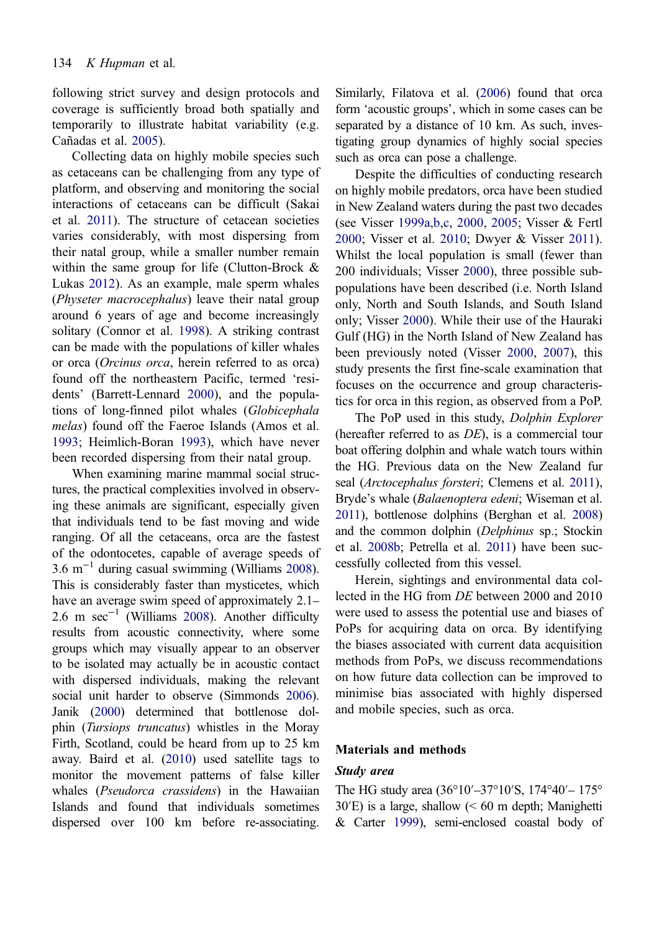following strict survey and design protocols and coverage is sufficiently broad both spatially and temporarily to illustrate habitat variability (e.g. Cañadas et al. [2005](#page-14-0)).

Collecting data on highly mobile species such as cetaceans can be challenging from any type of platform, and observing and monitoring the social interactions of cetaceans can be difficult (Sakai et al. [2011](#page-17-0)). The structure of cetacean societies varies considerably, with most dispersing from their natal group, while a smaller number remain within the same group for life (Clutton-Brock & Lukas [2012](#page-15-0)). As an example, male sperm whales (Physeter macrocephalus) leave their natal group around 6 years of age and become increasingly solitary (Connor et al. [1998\)](#page-15-0). A striking contrast can be made with the populations of killer whales or orca (Orcinus orca, herein referred to as orca) found off the northeastern Pacific, termed 'residents' (Barrett-Lennard [2000](#page-14-0)), and the populations of long-finned pilot whales (*Globicephala* melas) found off the Faeroe Islands (Amos et al. [1993](#page-14-0); Heimlich-Boran [1993\)](#page-15-0), which have never been recorded dispersing from their natal group.

When examining marine mammal social structures, the practical complexities involved in observing these animals are significant, especially given that individuals tend to be fast moving and wide ranging. Of all the cetaceans, orca are the fastest of the odontocetes, capable of average speeds of 3.6 m<sup>-1</sup> during casual swimming (Williams [2008](#page-18-0)). This is considerably faster than mysticetes, which have an average swim speed of approximately 2.1– 2.6 m  $sec^{-1}$  (Williams [2008](#page-18-0)). Another difficulty results from acoustic connectivity, where some groups which may visually appear to an observer to be isolated may actually be in acoustic contact with dispersed individuals, making the relevant social unit harder to observe (Simmonds [2006](#page-17-0)). Janik [\(2000\)](#page-16-0) determined that bottlenose dol‐ phin (Tursiops truncatus) whistles in the Moray Firth, Scotland, could be heard from up to 25 km away. Baird et al. [\(2010\)](#page-14-0) used satellite tags to monitor the movement patterns of false killer whales (Pseudorca crassidens) in the Hawaiian Islands and found that individuals sometimes dispersed over 100 km before re-associating.

Similarly, Filatova et al. [\(2006\)](#page-15-0) found that orca form 'acoustic groups', which in some cases can be separated by a distance of 10 km. As such, investigating group dynamics of highly social species such as orca can pose a challenge.

Despite the difficulties of conducting research on highly mobile predators, orca have been studied in New Zealand waters during the past two decades (see Visser [1999a,b](#page-17-0),[c,](#page-17-0) [2000,](#page-17-0) [2005;](#page-17-0) Visser & Fertl [2000;](#page-17-0) Visser et al. [2010](#page-17-0); Dwyer & Visser [2011\)](#page-15-0). Whilst the local population is small (fewer than 200 individuals; Visser [2000\)](#page-17-0), three possible subpopulations have been described (i.e. North Island only, North and South Islands, and South Island only; Visser [2000\)](#page-17-0). While their use of the Hauraki Gulf (HG) in the North Island of New Zealand has been previously noted (Visser [2000,](#page-17-0) [2007\)](#page-17-0), this study presents the first fine-scale examination that focuses on the occurrence and group characteristics for orca in this region, as observed from a PoP.

The PoP used in this study, Dolphin Explorer (hereafter referred to as DE), is a commercial tour boat offering dolphin and whale watch tours within the HG. Previous data on the New Zealand fur seal (Arctocephalus forsteri; Clemens et al. [2011](#page-15-0)), Bryde's whale (Balaenoptera edeni; Wiseman et al. [2011](#page-18-0)), bottlenose dolphins (Berghan et al. [2008](#page-14-0)) and the common dolphin (Delphinus sp.; Stockin et al. [2008b](#page-17-0); Petrella et al. [2011](#page-17-0)) have been successfully collected from this vessel.

Herein, sightings and environmental data collected in the HG from DE between 2000 and 2010 were used to assess the potential use and biases of PoPs for acquiring data on orca. By identifying the biases associated with current data acquisition methods from PoPs, we discuss recommendations on how future data collection can be improved to minimise bias associated with highly dispersed and mobile species, such as orca.

#### Materials and methods

## Study area

The HG study area (36°10′–37°10′S, 174°40′– 175° 30′E) is a large, shallow (< 60 m depth; Manighetti & Carter [1999](#page-16-0)), semi-enclosed coastal body of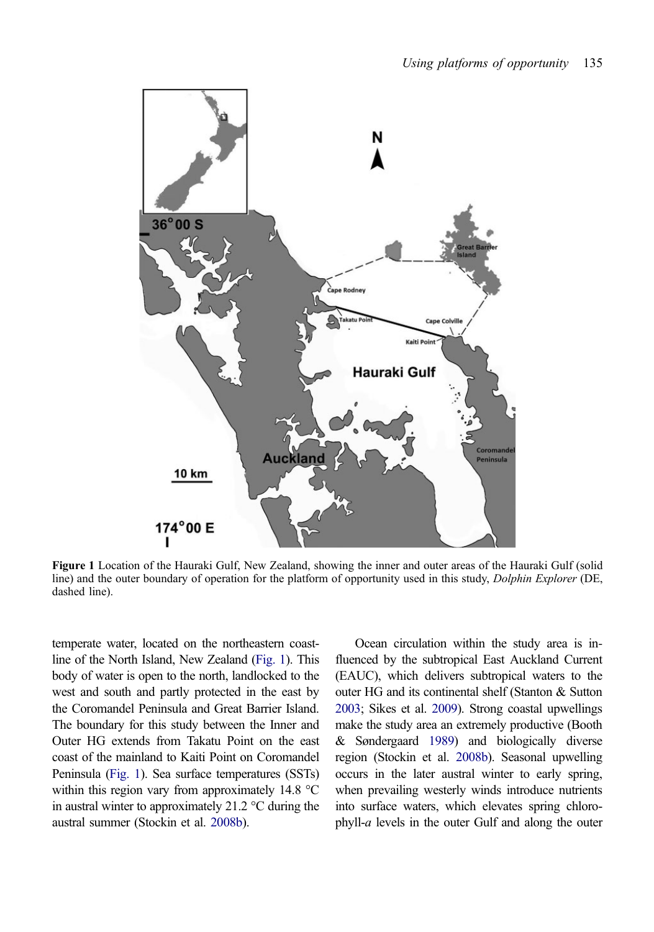

Figure 1 Location of the Hauraki Gulf, New Zealand, showing the inner and outer areas of the Hauraki Gulf (solid line) and the outer boundary of operation for the platform of opportunity used in this study, Dolphin Explorer (DE, dashed line).

temperate water, located on the northeastern coastline of the North Island, New Zealand (Fig. 1). This body of water is open to the north, landlocked to the west and south and partly protected in the east by the Coromandel Peninsula and Great Barrier Island. The boundary for this study between the Inner and Outer HG extends from Takatu Point on the east coast of the mainland to Kaiti Point on Coromandel Peninsula (Fig. 1). Sea surface temperatures (SSTs) within this region vary from approximately 14.8 °C in austral winter to approximately 21.2 °C during the austral summer (Stockin et al. [2008b\)](#page-17-0).

Ocean circulation within the study area is in‐ fluenced by the subtropical East Auckland Current (EAUC), which delivers subtropical waters to the outer HG and its continental shelf (Stanton & Sutton [2003](#page-17-0); Sikes et al. [2009](#page-17-0)). Strong coastal upwellings make the study area an extremely productive (Booth & Søndergaard [1989\)](#page-14-0) and biologically diverse region (Stockin et al. [2008b\)](#page-17-0). Seasonal upwelling occurs in the later austral winter to early spring, when prevailing westerly winds introduce nutrients into surface waters, which elevates spring chlorophyll- $a$  levels in the outer Gulf and along the outer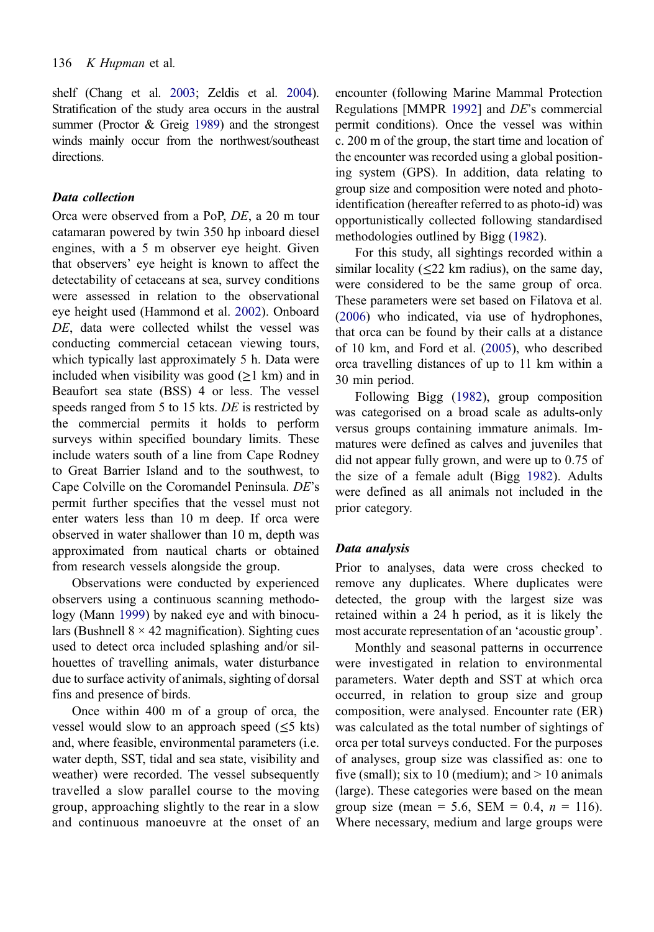shelf (Chang et al. [2003;](#page-14-0) Zeldis et al. [2004\)](#page-18-0). Stratification of the study area occurs in the austral summer (Proctor & Greig [1989\)](#page-17-0) and the strongest winds mainly occur from the northwest/southeast directions.

# Data collection

Orca were observed from a PoP, DE, a 20 m tour catamaran powered by twin 350 hp inboard diesel engines, with a 5 m observer eye height. Given that observers' eye height is known to affect the detectability of cetaceans at sea, survey conditions were assessed in relation to the observational eye height used (Hammond et al. [2002](#page-15-0)). Onboard DE, data were collected whilst the vessel was conducting commercial cetacean viewing tours, which typically last approximately 5 h. Data were included when visibility was good (≥1 km) and in Beaufort sea state (BSS) 4 or less. The vessel speeds ranged from 5 to 15 kts. DE is restricted by the commercial permits it holds to perform surveys within specified boundary limits. These include waters south of a line from Cape Rodney to Great Barrier Island and to the southwest, to Cape Colville on the Coromandel Peninsula. DE's permit further specifies that the vessel must not enter waters less than 10 m deep. If orca were observed in water shallower than 10 m, depth was approximated from nautical charts or obtained from research vessels alongside the group.

Observations were conducted by experienced observers using a continuous scanning methodology (Mann [1999\)](#page-16-0) by naked eye and with binoculars (Bushnell  $8 \times 42$  magnification). Sighting cues used to detect orca included splashing and/or sil‐ houettes of travelling animals, water disturbance due to surface activity of animals, sighting of dorsal fins and presence of birds.

Once within 400 m of a group of orca, the vessel would slow to an approach speed  $(\leq 5$  kts) and, where feasible, environmental parameters (i.e. water depth, SST, tidal and sea state, visibility and weather) were recorded. The vessel subsequently travelled a slow parallel course to the moving group, approaching slightly to the rear in a slow and continuous manoeuvre at the onset of an encounter (following Marine Mammal Protection Regulations [MMPR [1992](#page-16-0)] and DE's commercial permit conditions). Once the vessel was within c. 200 m of the group, the start time and location of the encounter was recorded using a global positioning system (GPS). In addition, data relating to group size and composition were noted and photoidentification (hereafter referred to as photo-id) was opportunistically collected following standardised methodologies outlined by Bigg [\(1982\)](#page-14-0).

For this study, all sightings recorded within a similar locality ( $\leq$ 22 km radius), on the same day, were considered to be the same group of orca. These parameters were set based on Filatova et al. [\(2006](#page-15-0)) who indicated, via use of hydrophones, that orca can be found by their calls at a distance of 10 km, and Ford et al. [\(2005](#page-15-0)), who described orca travelling distances of up to 11 km within a 30 min period.

Following Bigg ([1982\)](#page-14-0), group composition was categorised on a broad scale as adults-only versus groups containing immature animals. Im‐ matures were defined as calves and juveniles that did not appear fully grown, and were up to 0.75 of the size of a female adult (Bigg [1982](#page-14-0)). Adults were defined as all animals not included in the prior category.

## Data analysis

Prior to analyses, data were cross checked to remove any duplicates. Where duplicates were detected, the group with the largest size was retained within a 24 h period, as it is likely the most accurate representation of an 'acoustic group'.

Monthly and seasonal patterns in occurrence were investigated in relation to environmental parameters. Water depth and SST at which orca occurred, in relation to group size and group composition, were analysed. Encounter rate (ER) was calculated as the total number of sightings of orca per total surveys conducted. For the purposes of analyses, group size was classified as: one to five (small); six to 10 (medium); and  $> 10$  animals (large). These categories were based on the mean group size (mean = 5.6, SEM = 0.4,  $n = 116$ ). Where necessary, medium and large groups were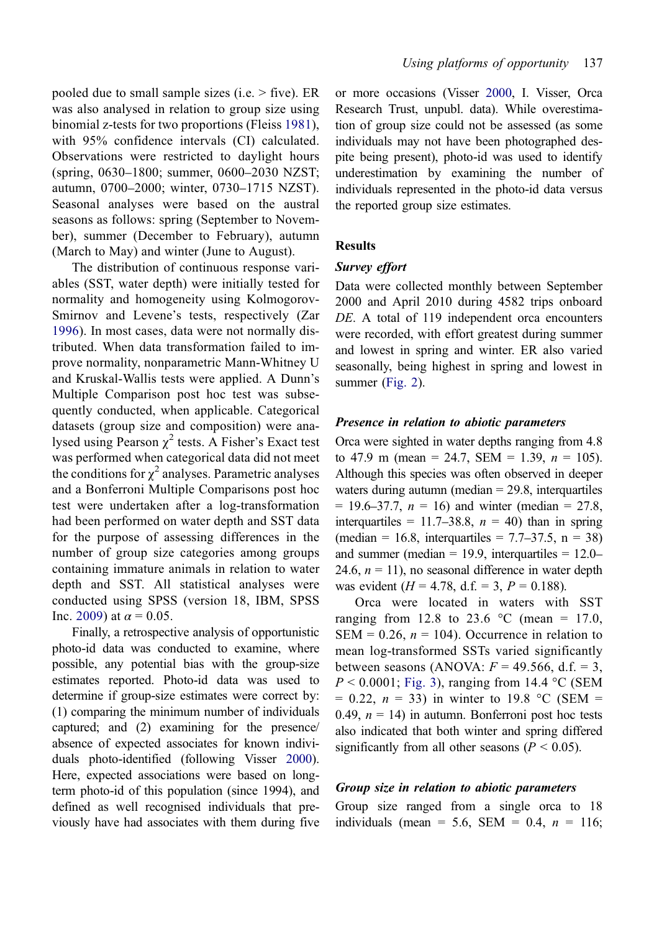pooled due to small sample sizes (i.e. > five). ER was also analysed in relation to group size using binomial z-tests for two proportions (Fleiss [1981](#page-15-0)), with 95% confidence intervals (CI) calculated. Observations were restricted to daylight hours (spring, 0630–1800; summer, 0600–2030 NZST; autumn, 0700–2000; winter, 0730–1715 NZST). Seasonal analyses were based on the austral seasons as follows: spring (September to November), summer (December to February), autumn (March to May) and winter (June to August).

The distribution of continuous response variables (SST, water depth) were initially tested for normality and homogeneity using Kolmogorov-Smirnov and Levene's tests, respectively (Zar [1996\)](#page-18-0). In most cases, data were not normally dis‐ tributed. When data transformation failed to im‐ prove normality, nonparametric Mann-Whitney U and Kruskal-Wallis tests were applied. A Dunn's Multiple Comparison post hoc test was subsequently conducted, when applicable. Categorical datasets (group size and composition) were analysed using Pearson  $\chi^2$  tests. A Fisher's Exact test was performed when categorical data did not meet the conditions for  $\chi^2$  analyses. Parametric analyses and a Bonferroni Multiple Comparisons post hoc test were undertaken after a log-transformation had been performed on water depth and SST data for the purpose of assessing differences in the number of group size categories among groups containing immature animals in relation to water depth and SST. All statistical analyses were conducted using SPSS (version 18, IBM, SPSS Inc. [2009\)](#page-17-0) at  $\alpha = 0.05$ .

Finally, a retrospective analysis of opportunistic photo-id data was conducted to examine, where possible, any potential bias with the group-size estimates reported. Photo-id data was used to determine if group-size estimates were correct by: (1) comparing the minimum number of individuals captured; and (2) examining for the presence/ absence of expected associates for known individuals photo-identified (following Visser [2000](#page-17-0)). Here, expected associations were based on longterm photo-id of this population (since 1994), and defined as well recognised individuals that previously have had associates with them during five

or more occasions (Visser [2000](#page-17-0), I. Visser, Orca Research Trust, unpubl. data). While overestimation of group size could not be assessed (as some individuals may not have been photographed despite being present), photo-id was used to identify underestimation by examining the number of individuals represented in the photo-id data versus the reported group size estimates.

# **Results**

#### Survey effort

Data were collected monthly between September 2000 and April 2010 during 4582 trips onboard DE. A total of 119 independent orca encounters were recorded, with effort greatest during summer and lowest in spring and winter. ER also varied seasonally, being highest in spring and lowest in summer [\(Fig. 2](#page-7-0)).

#### Presence in relation to abiotic parameters

Orca were sighted in water depths ranging from 4.8 to 47.9 m (mean = 24.7, SEM = 1.39,  $n = 105$ ). Although this species was often observed in deeper waters during autumn (median  $= 29.8$ , interquartiles  $= 19.6 - 37.7$ ,  $n = 16$ ) and winter (median  $= 27.8$ , interquartiles = 11.7–38.8,  $n = 40$ ) than in spring  $(median = 16.8, interquartiles = 7.7–37.5, n = 38)$ and summer (median  $= 19.9$ , interquartiles  $= 12.0 -$ 24.6,  $n = 11$ ), no seasonal difference in water depth was evident ( $H = 4.78$ , d.f. = 3,  $P = 0.188$ ).

Orca were located in waters with SST ranging from 12.8 to 23.6  $\degree$ C (mean = 17.0, SEM = 0.26,  $n = 104$ ). Occurrence in relation to mean log-transformed SSTs varied significantly between seasons (ANOVA:  $F = 49.566$ , d.f. = 3,  $P < 0.0001$ ; [Fig. 3\)](#page-7-0), ranging from 14.4 °C (SEM  $= 0.22$ ,  $n = 33$ ) in winter to 19.8 °C (SEM = 0.49,  $n = 14$ ) in autumn. Bonferroni post hoc tests also indicated that both winter and spring differed significantly from all other seasons ( $P < 0.05$ ).

### Group size in relation to abiotic parameters

Group size ranged from a single orca to 18 individuals (mean = 5.6, SEM = 0.4,  $n = 116$ ;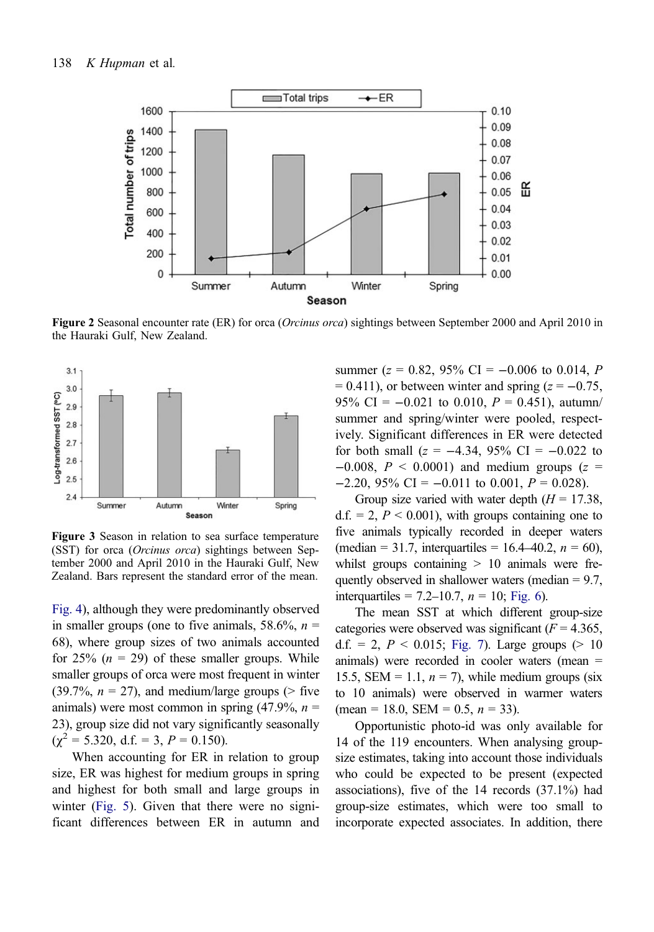<span id="page-7-0"></span>

Figure 2 Seasonal encounter rate (ER) for orca (Orcinus orca) sightings between September 2000 and April 2010 in the Hauraki Gulf, New Zealand.



Figure 3 Season in relation to sea surface temperature (SST) for orca (Orcinus orca) sightings between September 2000 and April 2010 in the Hauraki Gulf, New Zealand. Bars represent the standard error of the mean.

[Fig. 4](#page-8-0)), although they were predominantly observed in smaller groups (one to five animals,  $58.6\%$ ,  $n =$ 68), where group sizes of two animals accounted for 25%  $(n = 29)$  of these smaller groups. While smaller groups of orca were most frequent in winter (39.7%,  $n = 27$ ), and medium/large groups (> five animals) were most common in spring  $(47.9\%, n =$ 23), group size did not vary significantly seasonally  $(\chi^2 = 5.320, d.f. = 3, P = 0.150).$ 

When accounting for ER in relation to group size, ER was highest for medium groups in spring and highest for both small and large groups in winter [\(Fig. 5\)](#page-8-0). Given that there were no significant differences between ER in autumn and summer ( $z = 0.82$ , 95% CI = -0.006 to 0.014, P  $= 0.411$ ), or between winter and spring ( $z = -0.75$ , 95% CI =  $-0.021$  to 0.010,  $P = 0.451$ ), autumn/ summer and spring/winter were pooled, respectively. Significant differences in ER were detected for both small ( $z = -4.34$ , 95% CI =  $-0.022$  to  $-0.008$ ,  $P < 0.0001$ ) and medium groups (z =  $-2.20$ , 95% CI =  $-0.011$  to 0.001,  $P = 0.028$ ).

Group size varied with water depth  $(H = 17.38$ ,  $d.f. = 2, P < 0.001$ , with groups containing one to five animals typically recorded in deeper waters (median = 31.7, interquartiles = 16.4–40.2,  $n = 60$ ), whilst groups containing  $> 10$  animals were frequently observed in shallower waters (median  $= 9.7$ , interquartiles = 7.2–10.7,  $n = 10$ ; [Fig. 6](#page-9-0)).

The mean SST at which different group-size categories were observed was significant ( $F = 4.365$ , d.f. = 2,  $P < 0.015$ ; [Fig. 7\)](#page-9-0). Large groups (> 10 animals) were recorded in cooler waters (mean = 15.5, SEM = 1.1,  $n = 7$ ), while medium groups (six to 10 animals) were observed in warmer waters  $(\text{mean} = 18.0, \text{ SEM} = 0.5, n = 33).$ 

Opportunistic photo-id was only available for 14 of the 119 encounters. When analysing groupsize estimates, taking into account those individuals who could be expected to be present (expected associations), five of the 14 records (37.1%) had group-size estimates, which were too small to incorporate expected associates. In addition, there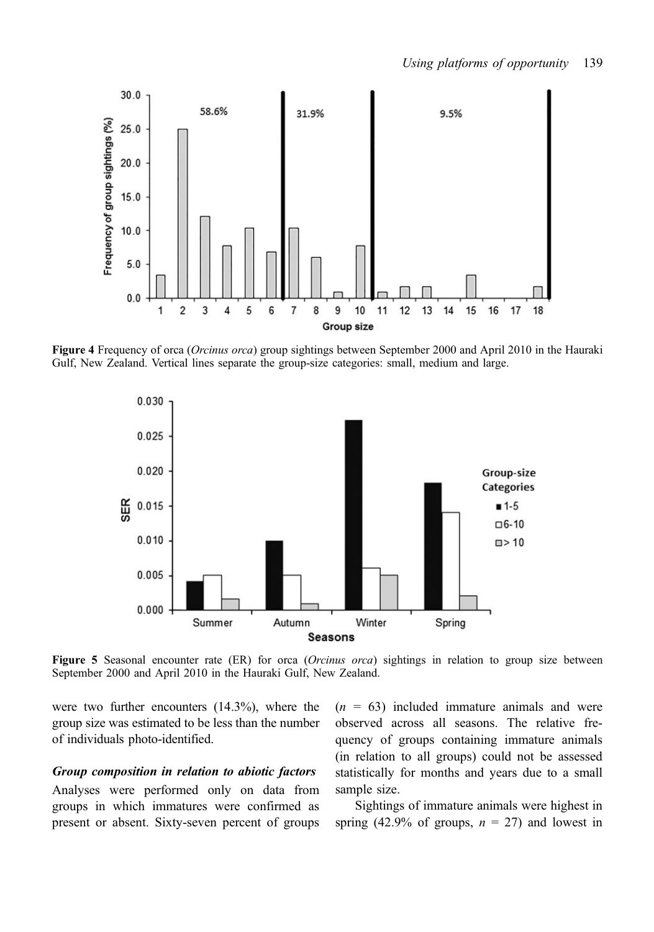<span id="page-8-0"></span>

Figure 4 Frequency of orca (Orcinus orca) group sightings between September 2000 and April 2010 in the Hauraki Gulf, New Zealand. Vertical lines separate the group-size categories: small, medium and large.



Figure 5 Seasonal encounter rate (ER) for orca (Orcinus orca) sightings in relation to group size between September 2000 and April 2010 in the Hauraki Gulf, New Zealand.

were two further encounters (14.3%), where the group size was estimated to be less than the number of individuals photo-identified.

## Group composition in relation to abiotic factors

Analyses were performed only on data from groups in which immatures were confirmed as present or absent. Sixty-seven percent of groups  $(n = 63)$  included immature animals and were observed across all seasons. The relative frequency of groups containing immature animals (in relation to all groups) could not be assessed statistically for months and years due to a small sample size.

Sightings of immature animals were highest in spring (42.9% of groups,  $n = 27$ ) and lowest in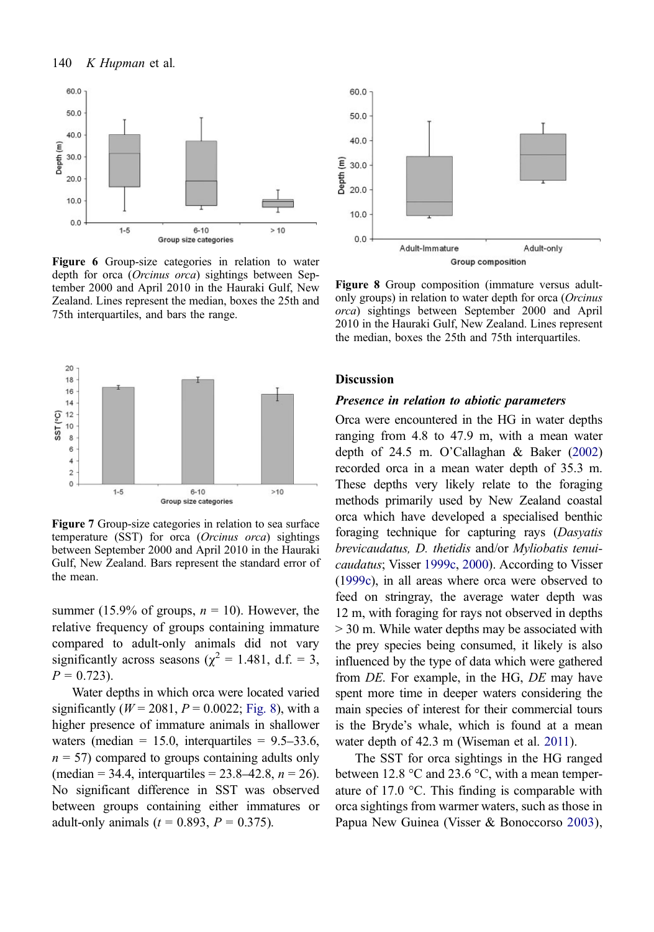<span id="page-9-0"></span>

Figure 6 Group-size categories in relation to water depth for orca (Orcinus orca) sightings between September 2000 and April 2010 in the Hauraki Gulf, New Zealand. Lines represent the median, boxes the 25th and 75th interquartiles, and bars the range.



Figure 7 Group-size categories in relation to sea surface temperature (SST) for orca (Orcinus orca) sightings between September 2000 and April 2010 in the Hauraki Gulf, New Zealand. Bars represent the standard error of the mean.

summer (15.9% of groups,  $n = 10$ ). However, the relative frequency of groups containing immature compared to adult-only animals did not vary significantly across seasons ( $\chi^2 = 1.481$ , d.f. = 3,  $P = 0.723$ .

Water depths in which orca were located varied significantly ( $W = 2081, P = 0.0022$ ; Fig. 8), with a higher presence of immature animals in shallower waters (median  $= 15.0$ , interguartiles  $= 9.5 - 33.6$ ,  $n = 57$ ) compared to groups containing adults only (median = 34.4, interquartiles =  $23.8-42.8$ ,  $n = 26$ ). No significant difference in SST was observed between groups containing either immatures or adult-only animals ( $t = 0.893, P = 0.375$ ).



Figure 8 Group composition (immature versus adultonly groups) in relation to water depth for orca (Orcinus orca) sightings between September 2000 and April 2010 in the Hauraki Gulf, New Zealand. Lines represent the median, boxes the 25th and 75th interquartiles.

#### Discussion

#### Presence in relation to abiotic parameters

Orca were encountered in the HG in water depths ranging from 4.8 to 47.9 m, with a mean water depth of 24.5 m. O'Callaghan & Baker ([2002](#page-16-0)) recorded orca in a mean water depth of 35.3 m. These depths very likely relate to the foraging methods primarily used by New Zealand coastal orca which have developed a specialised benthic foraging technique for capturing rays (Dasyatis brevicaudatus, D. thetidis and/or Myliobatis tenuicaudatus; Visser [1999c,](#page-17-0) [2000\)](#page-17-0). According to Visser ([1999c\)](#page-17-0), in all areas where orca were observed to feed on stringray, the average water depth was 12 m, with foraging for rays not observed in depths > 30 m. While water depths may be associated with the prey species being consumed, it likely is also influenced by the type of data which were gathered from DE. For example, in the HG, DE may have spent more time in deeper waters considering the main species of interest for their commercial tours is the Bryde's whale, which is found at a mean water depth of 42.3 m (Wiseman et al. [2011\)](#page-18-0).

The SST for orca sightings in the HG ranged between 12.8  $\degree$ C and 23.6  $\degree$ C, with a mean temperature of 17.0  $\degree$ C. This finding is comparable with orca sightings from warmer waters, such as those in Papua New Guinea (Visser & Bonoccorso [2003\)](#page-17-0),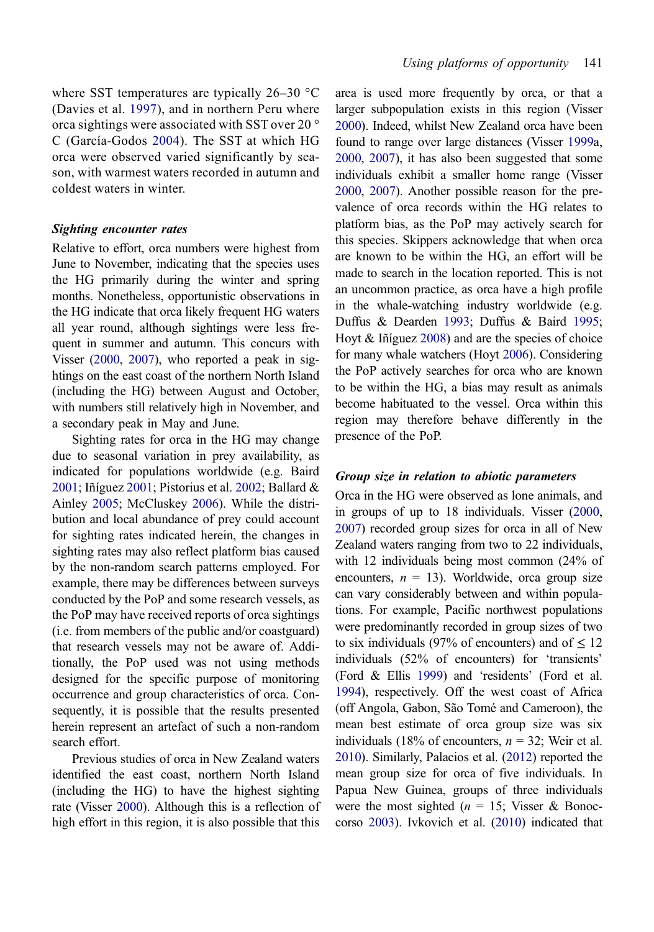where SST temperatures are typically 26–30 °C (Davies et al. [1997](#page-15-0)), and in northern Peru where orca sightings were associated with SST over 20 ° C (García-Godos [2004\)](#page-15-0). The SST at which HG orca were observed varied significantly by season, with warmest waters recorded in autumn and coldest waters in winter.

#### Sighting encounter rates

Relative to effort, orca numbers were highest from June to November, indicating that the species uses the HG primarily during the winter and spring months. Nonetheless, opportunistic observations in the HG indicate that orca likely frequent HG waters all year round, although sightings were less frequent in summer and autumn. This concurs with Visser ([2000](#page-17-0), [2007\)](#page-17-0), who reported a peak in sightings on the east coast of the northern North Island (including the HG) between August and October, with numbers still relatively high in November, and a secondary peak in May and June.

Sighting rates for orca in the HG may change due to seasonal variation in prey availability, as indicated for populations worldwide (e.g. Baird [2001](#page-14-0); Iñíguez [2001](#page-15-0); Pistorius et al. [2002](#page-17-0); Ballard & Ainley [2005;](#page-14-0) McCluskey [2006\)](#page-16-0). While the distribution and local abundance of prey could account for sighting rates indicated herein, the changes in sighting rates may also reflect platform bias caused by the non-random search patterns employed. For example, there may be differences between surveys conducted by the PoP and some research vessels, as the PoP may have received reports of orca sightings (i.e. from members of the public and/or coastguard) that research vessels may not be aware of. Additionally, the PoP used was not using methods designed for the specific purpose of monitoring occurrence and group characteristics of orca. Consequently, it is possible that the results presented herein represent an artefact of such a non-random search effort.

Previous studies of orca in New Zealand waters identified the east coast, northern North Island (including the HG) to have the highest sighting rate (Visser [2000\)](#page-17-0). Although this is a reflection of high effort in this region, it is also possible that this

area is used more frequently by orca, or that a larger subpopulation exists in this region (Visser [2000\)](#page-17-0). Indeed, whilst New Zealand orca have been found to range over large distances (Visser [1999a](#page-17-0), [2000,](#page-17-0) [2007](#page-17-0)), it has also been suggested that some individuals exhibit a smaller home range (Visser [2000,](#page-17-0) [2007](#page-17-0)). Another possible reason for the prevalence of orca records within the HG relates to platform bias, as the PoP may actively search for this species. Skippers acknowledge that when orca are known to be within the HG, an effort will be made to search in the location reported. This is not an uncommon practice, as orca have a high profile in the whale-watching industry worldwide (e.g. Duffus & Dearden [1993](#page-15-0); Duffus & Baird [1995;](#page-15-0) Hoyt & Iñíguez [2008\)](#page-15-0) and are the species of choice for many whale watchers (Hoyt [2006\)](#page-15-0). Considering the PoP actively searches for orca who are known to be within the HG, a bias may result as animals become habituated to the vessel. Orca within this region may therefore behave differently in the presence of the PoP.

#### Group size in relation to abiotic parameters

Orca in the HG were observed as lone animals, and in groups of up to 18 individuals. Visser ([2000](#page-17-0), [2007\)](#page-17-0) recorded group sizes for orca in all of New Zealand waters ranging from two to 22 individuals, with 12 individuals being most common (24% of encounters,  $n = 13$ ). Worldwide, orca group size can vary considerably between and within populations. For example, Pacific northwest populations were predominantly recorded in group sizes of two to six individuals (97% of encounters) and of  $\leq 12$ individuals (52% of encounters) for 'transients' (Ford & Ellis [1999](#page-15-0)) and 'residents' (Ford et al. [1994\)](#page-15-0), respectively. Off the west coast of Africa (off Angola, Gabon, São Tomé and Cameroon), the mean best estimate of orca group size was six individuals (18% of encounters,  $n = 32$ ; Weir et al. [2010\)](#page-18-0). Similarly, Palacios et al. [\(2012\)](#page-16-0) reported the mean group size for orca of five individuals. In Papua New Guinea, groups of three individuals were the most sighted ( $n = 15$ ; Visser & Bonoccorso [2003\)](#page-17-0). Ivkovich et al. ([2010](#page-16-0)) indicated that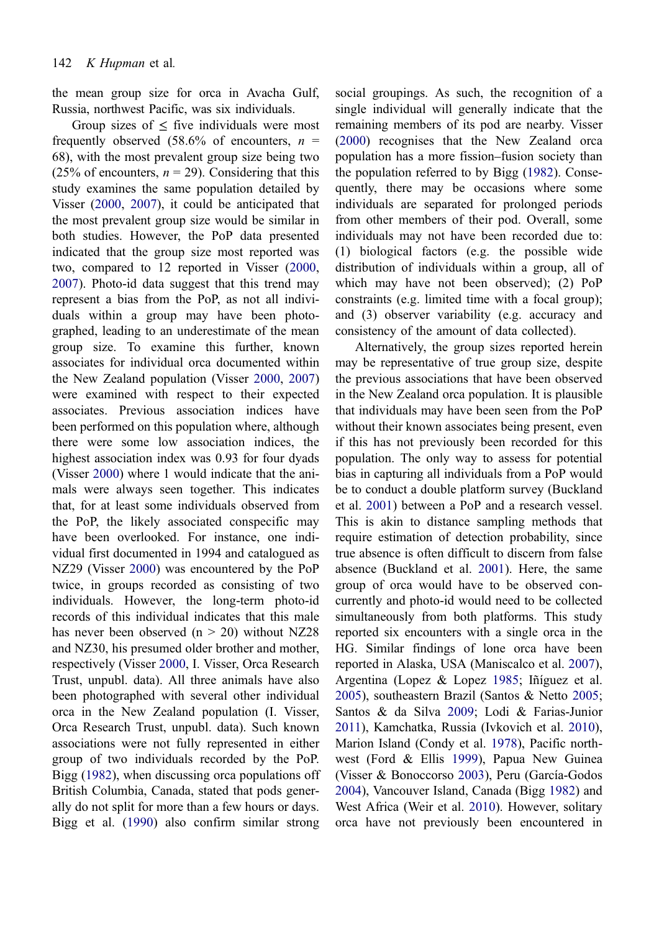the mean group size for orca in Avacha Gulf, Russia, northwest Pacific, was six individuals.

Group sizes of  $\leq$  five individuals were most frequently observed  $(58.6\% \text{ of encounters}, n =$ 68), with the most prevalent group size being two (25% of encounters,  $n = 29$ ). Considering that this study examines the same population detailed by Visser ([2000,](#page-17-0) [2007](#page-17-0)), it could be anticipated that the most prevalent group size would be similar in both studies. However, the PoP data presented indicated that the group size most reported was two, compared to 12 reported in Visser ([2000,](#page-17-0) [2007](#page-17-0)). Photo-id data suggest that this trend may represent a bias from the PoP, as not all individuals within a group may have been photographed, leading to an underestimate of the mean group size. To examine this further, known associates for individual orca documented within the New Zealand population (Visser [2000](#page-17-0), [2007\)](#page-17-0) were examined with respect to their expected associates. Previous association indices have been performed on this population where, although there were some low association indices, the highest association index was 0.93 for four dyads (Visser [2000](#page-17-0)) where 1 would indicate that the animals were always seen together. This indicates that, for at least some individuals observed from the PoP, the likely associated conspecific may have been overlooked. For instance, one individual first documented in 1994 and catalogued as NZ29 (Visser [2000\)](#page-17-0) was encountered by the PoP twice, in groups recorded as consisting of two individuals. However, the long-term photo-id records of this individual indicates that this male has never been observed  $(n > 20)$  without NZ28 and NZ30, his presumed older brother and mother, respectively (Visser [2000](#page-17-0), I. Visser, Orca Research Trust, unpubl. data). All three animals have also been photographed with several other individual orca in the New Zealand population (I. Visser, Orca Research Trust, unpubl. data). Such known associations were not fully represented in either group of two individuals recorded by the PoP. Bigg ([1982\)](#page-14-0), when discussing orca populations off British Columbia, Canada, stated that pods generally do not split for more than a few hours or days. Bigg et al. ([1990\)](#page-14-0) also confirm similar strong

social groupings. As such, the recognition of a single individual will generally indicate that the remaining members of its pod are nearby. Visser [\(2000](#page-17-0)) recognises that the New Zealand orca population has a more fission–fusion society than the population referred to by Bigg ([1982\)](#page-14-0). Consequently, there may be occasions where some individuals are separated for prolonged periods from other members of their pod. Overall, some individuals may not have been recorded due to: (1) biological factors (e.g. the possible wide distribution of individuals within a group, all of which may have not been observed); (2) PoP constraints (e.g. limited time with a focal group); and (3) observer variability (e.g. accuracy and consistency of the amount of data collected).

Alternatively, the group sizes reported herein may be representative of true group size, despite the previous associations that have been observed in the New Zealand orca population. It is plausible that individuals may have been seen from the PoP without their known associates being present, even if this has not previously been recorded for this population. The only way to assess for potential bias in capturing all individuals from a PoP would be to conduct a double platform survey (Buckland et al. [2001](#page-14-0)) between a PoP and a research vessel. This is akin to distance sampling methods that require estimation of detection probability, since true absence is often difficult to discern from false absence (Buckland et al. [2001\)](#page-14-0). Here, the same group of orca would have to be observed concurrently and photo-id would need to be collected simultaneously from both platforms. This study reported six encounters with a single orca in the HG. Similar findings of lone orca have been reported in Alaska, USA (Maniscalco et al. [2007\)](#page-16-0), Argentina (Lopez & Lopez [1985;](#page-16-0) Iñíguez et al. [2005\)](#page-16-0), southeastern Brazil (Santos & Netto [2005;](#page-17-0) Santos & da Silva [2009;](#page-17-0) Lodi & Farias-Junior [2011\)](#page-16-0), Kamchatka, Russia (Ivkovich et al. [2010\)](#page-16-0), Marion Island (Condy et al. [1978](#page-15-0)), Pacific northwest (Ford & Ellis [1999\)](#page-15-0), Papua New Guinea (Visser & Bonoccorso [2003\)](#page-17-0), Peru (García-Godos [2004\)](#page-15-0), Vancouver Island, Canada (Bigg [1982](#page-14-0)) and West Africa (Weir et al. [2010\)](#page-18-0). However, solitary orca have not previously been encountered in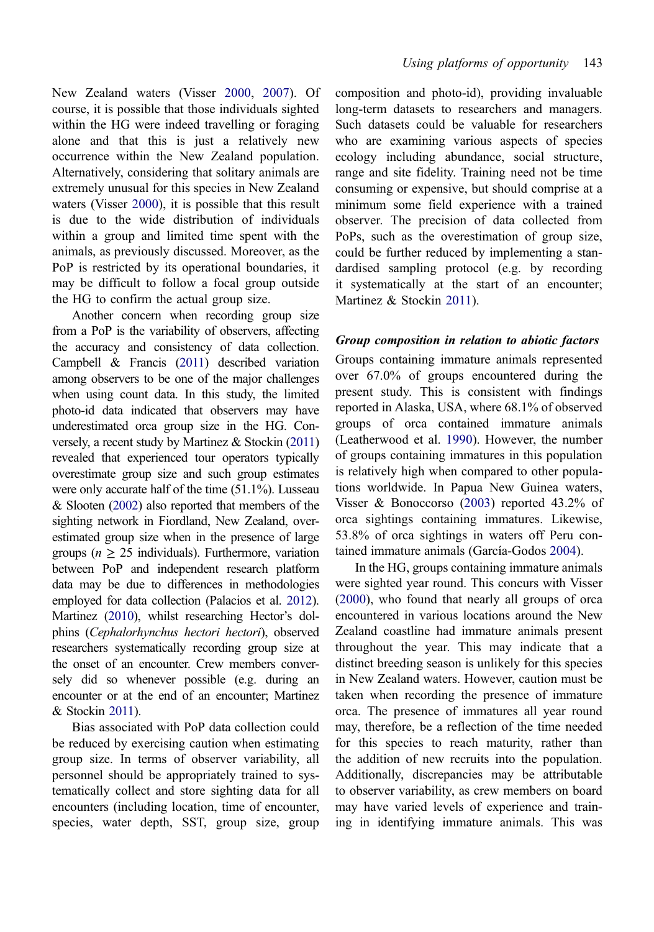New Zealand waters (Visser [2000](#page-17-0), [2007](#page-17-0)). Of course, it is possible that those individuals sighted within the HG were indeed travelling or foraging alone and that this is just a relatively new occurrence within the New Zealand population. Alternatively, considering that solitary animals are extremely unusual for this species in New Zealand waters (Visser [2000\)](#page-17-0), it is possible that this result is due to the wide distribution of individuals within a group and limited time spent with the

animals, as previously discussed. Moreover, as the PoP is restricted by its operational boundaries, it may be difficult to follow a focal group outside the HG to confirm the actual group size.

Another concern when recording group size from a PoP is the variability of observers, affecting the accuracy and consistency of data collection. Campbell & Francis [\(2011](#page-14-0)) described variation among observers to be one of the major challenges when using count data. In this study, the limited photo-id data indicated that observers may have underestimated orca group size in the HG. Conversely, a recent study by Martinez & Stockin [\(2011\)](#page-16-0) revealed that experienced tour operators typically overestimate group size and such group estimates were only accurate half of the time (51.1%). Lusseau & Slooten [\(2002](#page-16-0)) also reported that members of the sighting network in Fiordland, New Zealand, overestimated group size when in the presence of large groups ( $n \geq 25$  individuals). Furthermore, variation between PoP and independent research platform data may be due to differences in methodologies employed for data collection (Palacios et al. [2012\)](#page-16-0). Martinez ([2010\)](#page-16-0), whilst researching Hector's dolphins (Cephalorhynchus hectori hectori), observed researchers systematically recording group size at the onset of an encounter. Crew members conversely did so whenever possible (e.g. during an encounter or at the end of an encounter; Martinez & Stockin [2011](#page-16-0)).

Bias associated with PoP data collection could be reduced by exercising caution when estimating group size. In terms of observer variability, all personnel should be appropriately trained to systematically collect and store sighting data for all encounters (including location, time of encounter, species, water depth, SST, group size, group

composition and photo-id), providing invaluable long-term datasets to researchers and managers. Such datasets could be valuable for researchers who are examining various aspects of species ecology including abundance, social structure, range and site fidelity. Training need not be time consuming or expensive, but should comprise at a minimum some field experience with a trained observer. The precision of data collected from PoPs, such as the overestimation of group size, could be further reduced by implementing a standardised sampling protocol (e.g. by recording it systematically at the start of an encounter; Martinez & Stockin [2011](#page-16-0)).

#### Group composition in relation to abiotic factors

Groups containing immature animals represented over 67.0% of groups encountered during the present study. This is consistent with findings reported in Alaska, USA, where 68.1% of observed groups of orca contained immature animals (Leatherwood et al. [1990\)](#page-16-0). However, the number of groups containing immatures in this population is relatively high when compared to other populations worldwide. In Papua New Guinea waters, Visser & Bonoccorso [\(2003](#page-17-0)) reported 43.2% of orca sightings containing immatures. Likewise, 53.8% of orca sightings in waters off Peru contained immature animals (García-Godos [2004\)](#page-15-0).

In the HG, groups containing immature animals were sighted year round. This concurs with Visser [\(2000](#page-17-0)), who found that nearly all groups of orca encountered in various locations around the New Zealand coastline had immature animals present throughout the year. This may indicate that a distinct breeding season is unlikely for this species in New Zealand waters. However, caution must be taken when recording the presence of immature orca. The presence of immatures all year round may, therefore, be a reflection of the time needed for this species to reach maturity, rather than the addition of new recruits into the population. Additionally, discrepancies may be attributable to observer variability, as crew members on board may have varied levels of experience and training in identifying immature animals. This was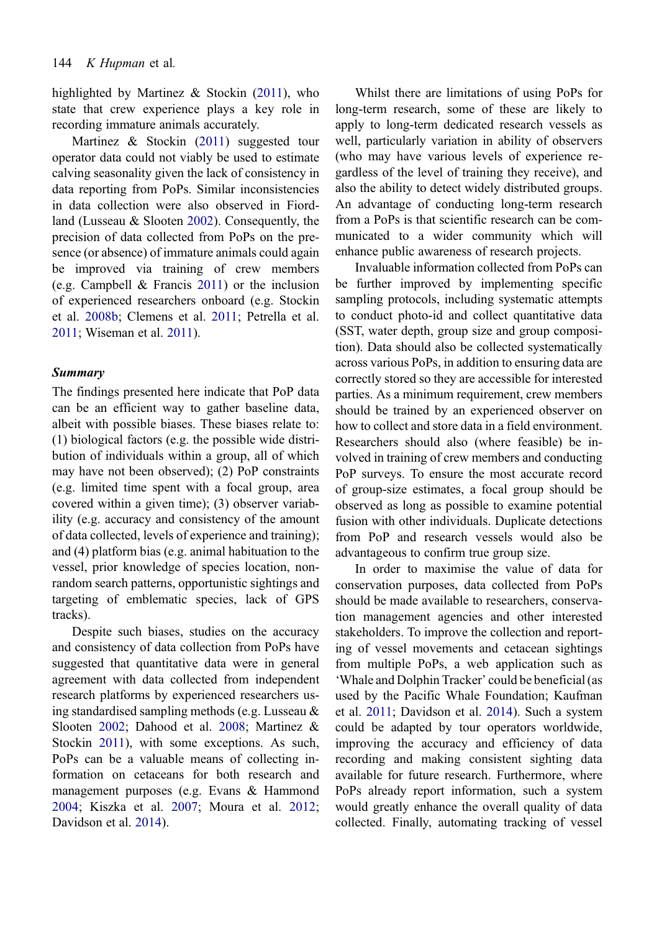highlighted by Martinez & Stockin ([2011\)](#page-16-0), who state that crew experience plays a key role in recording immature animals accurately.

Martinez & Stockin [\(2011\)](#page-16-0) suggested tour operator data could not viably be used to estimate calving seasonality given the lack of consistency in data reporting from PoPs. Similar inconsistencies in data collection were also observed in Fiordland (Lusseau & Slooten [2002](#page-16-0)). Consequently, the precision of data collected from PoPs on the pre‐ sence (or absence) of immature animals could again be improved via training of crew members (e.g. Campbell & Francis [2011\)](#page-14-0) or the inclusion of experienced researchers onboard (e.g. Stockin et al. [2008b](#page-17-0); Clemens et al. [2011](#page-15-0); Petrella et al. [2011;](#page-17-0) Wiseman et al. [2011\)](#page-18-0).

#### Summary

The findings presented here indicate that PoP data can be an efficient way to gather baseline data, albeit with possible biases. These biases relate to: (1) biological factors (e.g. the possible wide distribution of individuals within a group, all of which may have not been observed); (2) PoP constraints (e.g. limited time spent with a focal group, area covered within a given time); (3) observer variability (e.g. accuracy and consistency of the amount of data collected, levels of experience and training); and (4) platform bias (e.g. animal habituation to the vessel, prior knowledge of species location, nonrandom search patterns, opportunistic sightings and targeting of emblematic species, lack of GPS tracks).

Despite such biases, studies on the accuracy and consistency of data collection from PoPs have suggested that quantitative data were in general agreement with data collected from independent research platforms by experienced researchers using standardised sampling methods (e.g. Lusseau & Slooten [2002;](#page-16-0) Dahood et al. [2008](#page-15-0); Martinez & Stockin [2011](#page-16-0)), with some exceptions. As such, PoPs can be a valuable means of collecting in‐ formation on cetaceans for both research and management purposes (e.g. Evans & Hammond [2004](#page-15-0); Kiszka et al. [2007](#page-16-0); Moura et al. [2012](#page-16-0); Davidson et al. [2014](#page-15-0)).

Whilst there are limitations of using PoPs for long-term research, some of these are likely to apply to long-term dedicated research vessels as well, particularly variation in ability of observers (who may have various levels of experience re‐ gardless of the level of training they receive), and also the ability to detect widely distributed groups. An advantage of conducting long-term research from a PoPs is that scientific research can be com‐ municated to a wider community which will enhance public awareness of research projects.

Invaluable information collected from PoPs can be further improved by implementing specific sampling protocols, including systematic attempts to conduct photo-id and collect quantitative data (SST, water depth, group size and group composition). Data should also be collected systematically across various PoPs, in addition to ensuring data are correctly stored so they are accessible for interested parties. As a minimum requirement, crew members should be trained by an experienced observer on how to collect and store data in a field environment. Researchers should also (where feasible) be in‐ volved in training of crew members and conducting PoP surveys. To ensure the most accurate record of group-size estimates, a focal group should be observed as long as possible to examine potential fusion with other individuals. Duplicate detections from PoP and research vessels would also be advantageous to confirm true group size.

In order to maximise the value of data for conservation purposes, data collected from PoPs should be made available to researchers, conservation management agencies and other interested stakeholders. To improve the collection and reporting of vessel movements and cetacean sightings from multiple PoPs, a web application such as 'Whale and Dolphin Tracker' could be beneficial (as used by the Pacific Whale Foundation; Kaufman et al. [2011](#page-16-0); Davidson et al. [2014](#page-15-0)). Such a system could be adapted by tour operators worldwide, improving the accuracy and efficiency of data recording and making consistent sighting data available for future research. Furthermore, where PoPs already report information, such a system would greatly enhance the overall quality of data collected. Finally, automating tracking of vessel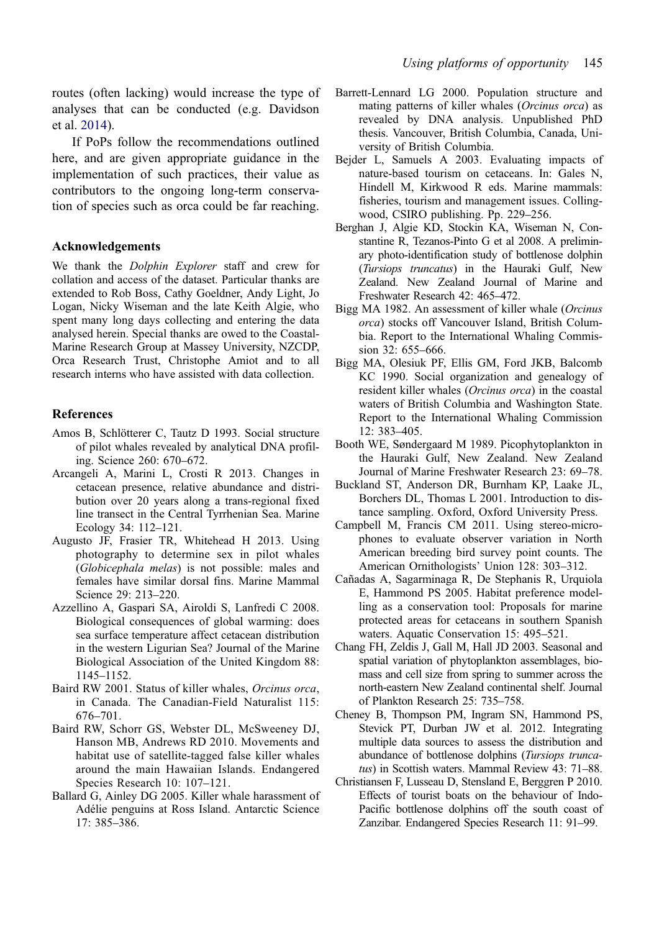<span id="page-14-0"></span>routes (often lacking) would increase the type of analyses that can be conducted (e.g. Davidson et al. [2014\)](#page-15-0).

If PoPs follow the recommendations outlined here, and are given appropriate guidance in the implementation of such practices, their value as contributors to the ongoing long-term conservation of species such as orca could be far reaching.

# Acknowledgements

We thank the *Dolphin Explorer* staff and crew for collation and access of the dataset. Particular thanks are extended to Rob Boss, Cathy Goeldner, Andy Light, Jo Logan, Nicky Wiseman and the late Keith Algie, who spent many long days collecting and entering the data analysed herein. Special thanks are owed to the Coastal-Marine Research Group at Massey University, NZCDP, Orca Research Trust, Christophe Amiot and to all research interns who have assisted with data collection.

# References

- Amos B, Schlötterer C, Tautz D 1993. Social structure of pilot whales revealed by analytical DNA profiling. Science 260: 670–672.
- Arcangeli A, Marini L, Crosti R 2013. Changes in cetacean presence, relative abundance and distribution over 20 years along a trans-regional fixed line transect in the Central Tyrrhenian Sea. Marine Ecology 34: 112–121.
- Augusto JF, Frasier TR, Whitehead H 2013. Using photography to determine sex in pilot whales (Globicephala melas) is not possible: males and females have similar dorsal fins. Marine Mammal Science 29: 213–220.
- Azzellino A, Gaspari SA, Airoldi S, Lanfredi C 2008. Biological consequences of global warming: does sea surface temperature affect cetacean distribution in the western Ligurian Sea? Journal of the Marine Biological Association of the United Kingdom 88: 1145–1152.
- Baird RW 2001. Status of killer whales, Orcinus orca, in Canada. The Canadian-Field Naturalist 115: 676–701.
- Baird RW, Schorr GS, Webster DL, McSweeney DJ, Hanson MB, Andrews RD 2010. Movements and habitat use of satellite-tagged false killer whales around the main Hawaiian Islands. Endangered Species Research 10: 107–121.
- Ballard G, Ainley DG 2005. Killer whale harassment of Adélie penguins at Ross Island. Antarctic Science 17: 385–386.
- Barrett-Lennard LG 2000. Population structure and mating patterns of killer whales (Orcinus orca) as revealed by DNA analysis. Unpublished PhD thesis. Vancouver, British Columbia, Canada, University of British Columbia.
- Bejder L, Samuels A 2003. Evaluating impacts of nature-based tourism on cetaceans. In: Gales N, Hindell M, Kirkwood R eds. Marine mammals: fisheries, tourism and management issues. Collingwood, CSIRO publishing. Pp. 229–256.
- Berghan J, Algie KD, Stockin KA, Wiseman N, Constantine R, Tezanos-Pinto G et al 2008. A preliminary photo-identification study of bottlenose dolphin (Tursiops truncatus) in the Hauraki Gulf, New Zealand. New Zealand Journal of Marine and Freshwater Research 42: 465–472.
- Bigg MA 1982. An assessment of killer whale (Orcinus orca) stocks off Vancouver Island, British Columbia. Report to the International Whaling Commission 32: 655–666.
- Bigg MA, Olesiuk PF, Ellis GM, Ford JKB, Balcomb KC 1990. Social organization and genealogy of resident killer whales (Orcinus orca) in the coastal waters of British Columbia and Washington State. Report to the International Whaling Commission 12: 383–405.
- Booth WE, Søndergaard M 1989. Picophytoplankton in the Hauraki Gulf, New Zealand. New Zealand Journal of Marine Freshwater Research 23: 69–78.
- Buckland ST, Anderson DR, Burnham KP, Laake JL, Borchers DL, Thomas L 2001. Introduction to distance sampling. Oxford, Oxford University Press.
- Campbell M, Francis CM 2011. Using stereo-microphones to evaluate observer variation in North American breeding bird survey point counts. The American Ornithologists' Union 128: 303–312.
- Cañadas A, Sagarminaga R, De Stephanis R, Urquiola E, Hammond PS 2005. Habitat preference modelling as a conservation tool: Proposals for marine protected areas for cetaceans in southern Spanish waters. Aquatic Conservation 15: 495–521.
- Chang FH, Zeldis J, Gall M, Hall JD 2003. Seasonal and spatial variation of phytoplankton assemblages, biomass and cell size from spring to summer across the north-eastern New Zealand continental shelf. Journal of Plankton Research 25: 735–758.
- Cheney B, Thompson PM, Ingram SN, Hammond PS, Stevick PT, Durban JW et al. 2012. Integrating multiple data sources to assess the distribution and abundance of bottlenose dolphins (Tursiops truncatus) in Scottish waters. Mammal Review 43: 71–88.
- Christiansen F, Lusseau D, Stensland E, Berggren P 2010. Effects of tourist boats on the behaviour of Indo-Pacific bottlenose dolphins off the south coast of Zanzibar. Endangered Species Research 11: 91–99.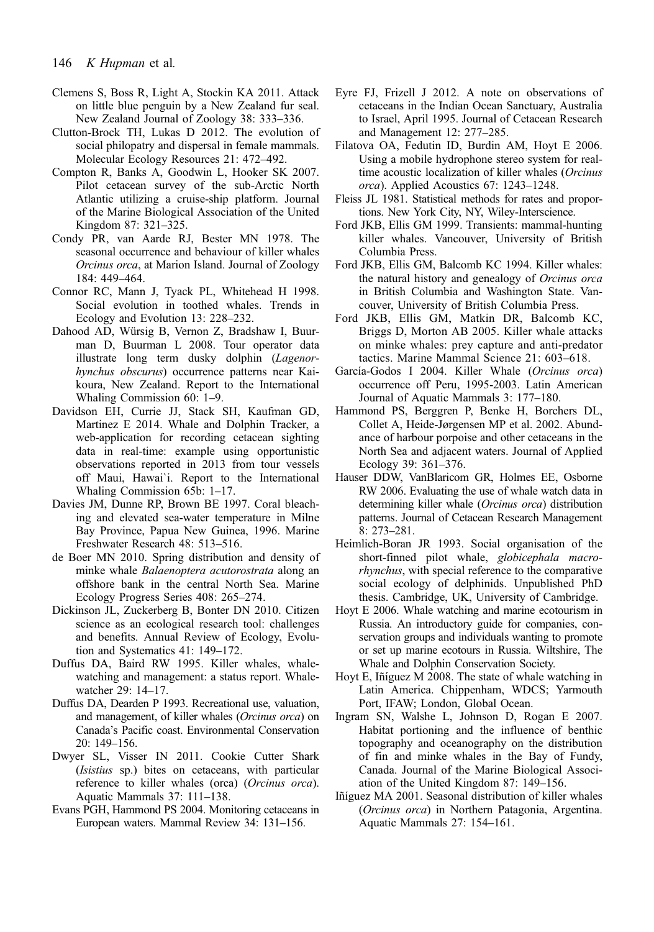- <span id="page-15-0"></span>Clemens S, Boss R, Light A, Stockin KA 2011. Attack on little blue penguin by a New Zealand fur seal. New Zealand Journal of Zoology 38: 333–336.
- Clutton-Brock TH, Lukas D 2012. The evolution of social philopatry and dispersal in female mammals. Molecular Ecology Resources 21: 472–492.
- Compton R, Banks A, Goodwin L, Hooker SK 2007. Pilot cetacean survey of the sub-Arctic North Atlantic utilizing a cruise-ship platform. Journal of the Marine Biological Association of the United Kingdom 87: 321–325.
- Condy PR, van Aarde RJ, Bester MN 1978. The seasonal occurrence and behaviour of killer whales Orcinus orca, at Marion Island. Journal of Zoology 184: 449–464.
- Connor RC, Mann J, Tyack PL, Whitehead H 1998. Social evolution in toothed whales. Trends in Ecology and Evolution 13: 228–232.
- Dahood AD, Würsig B, Vernon Z, Bradshaw I, Buurman D, Buurman L 2008. Tour operator data illustrate long term dusky dolphin (Lagenorhynchus obscurus) occurrence patterns near Kaikoura, New Zealand. Report to the International Whaling Commission 60: 1–9.
- Davidson EH, Currie JJ, Stack SH, Kaufman GD, Martinez E 2014. Whale and Dolphin Tracker, a web-application for recording cetacean sighting data in real-time: example using opportunistic observations reported in 2013 from tour vessels off Maui, Hawai`i. Report to the International Whaling Commission 65b: 1–17.
- Davies JM, Dunne RP, Brown BE 1997. Coral bleaching and elevated sea-water temperature in Milne Bay Province, Papua New Guinea, 1996. Marine Freshwater Research 48: 513–516.
- de Boer MN 2010. Spring distribution and density of minke whale Balaenoptera acutorostrata along an offshore bank in the central North Sea. Marine Ecology Progress Series 408: 265–274.
- Dickinson JL, Zuckerberg B, Bonter DN 2010. Citizen science as an ecological research tool: challenges and benefits. Annual Review of Ecology, Evolution and Systematics 41: 149–172.
- Duffus DA, Baird RW 1995. Killer whales, whalewatching and management: a status report. Whalewatcher 29: 14–17.
- Duffus DA, Dearden P 1993. Recreational use, valuation, and management, of killer whales (Orcinus orca) on Canada's Pacific coast. Environmental Conservation 20: 149–156.
- Dwyer SL, Visser IN 2011. Cookie Cutter Shark (Isistius sp.) bites on cetaceans, with particular reference to killer whales (orca) (Orcinus orca). Aquatic Mammals 37: 111–138.
- Evans PGH, Hammond PS 2004. Monitoring cetaceans in European waters. Mammal Review 34: 131–156.
- Eyre FJ, Frizell J 2012. A note on observations of cetaceans in the Indian Ocean Sanctuary, Australia to Israel, April 1995. Journal of Cetacean Research and Management 12: 277–285.
- Filatova OA, Fedutin ID, Burdin AM, Hoyt E 2006. Using a mobile hydrophone stereo system for realtime acoustic localization of killer whales (Orcinus orca). Applied Acoustics 67: 1243–1248.
- Fleiss JL 1981. Statistical methods for rates and proportions. New York City, NY, Wiley-Interscience.
- Ford JKB, Ellis GM 1999. Transients: mammal-hunting killer whales. Vancouver, University of British Columbia Press.
- Ford JKB, Ellis GM, Balcomb KC 1994. Killer whales: the natural history and genealogy of Orcinus orca in British Columbia and Washington State. Vancouver, University of British Columbia Press.
- Ford JKB, Ellis GM, Matkin DR, Balcomb KC, Briggs D, Morton AB 2005. Killer whale attacks on minke whales: prey capture and anti-predator tactics. Marine Mammal Science 21: 603–618.
- García-Godos I 2004. Killer Whale (Orcinus orca) occurrence off Peru, 1995-2003. Latin American Journal of Aquatic Mammals 3: 177–180.
- Hammond PS, Berggren P, Benke H, Borchers DL, Collet A, Heide-Jørgensen MP et al. 2002. Abundance of harbour porpoise and other cetaceans in the North Sea and adjacent waters. Journal of Applied Ecology 39: 361–376.
- Hauser DDW, VanBlaricom GR, Holmes EE, Osborne RW 2006. Evaluating the use of whale watch data in determining killer whale (Orcinus orca) distribution patterns. Journal of Cetacean Research Management 8: 273–281.
- Heimlich-Boran JR 1993. Social organisation of the short-finned pilot whale, globicephala macrorhynchus, with special reference to the comparative social ecology of delphinids. Unpublished PhD thesis. Cambridge, UK, University of Cambridge.
- Hoyt E 2006. Whale watching and marine ecotourism in Russia. An introductory guide for companies, conservation groups and individuals wanting to promote or set up marine ecotours in Russia. Wiltshire, The Whale and Dolphin Conservation Society.
- Hoyt E, Iñíguez M 2008. The state of whale watching in Latin America. Chippenham, WDCS; Yarmouth Port, IFAW; London, Global Ocean.
- Ingram SN, Walshe L, Johnson D, Rogan E 2007. Habitat portioning and the influence of benthic topography and oceanography on the distribution of fin and minke whales in the Bay of Fundy, Canada. Journal of the Marine Biological Association of the United Kingdom 87: 149–156.
- Iñíguez MA 2001. Seasonal distribution of killer whales (Orcinus orca) in Northern Patagonia, Argentina. Aquatic Mammals 27: 154–161.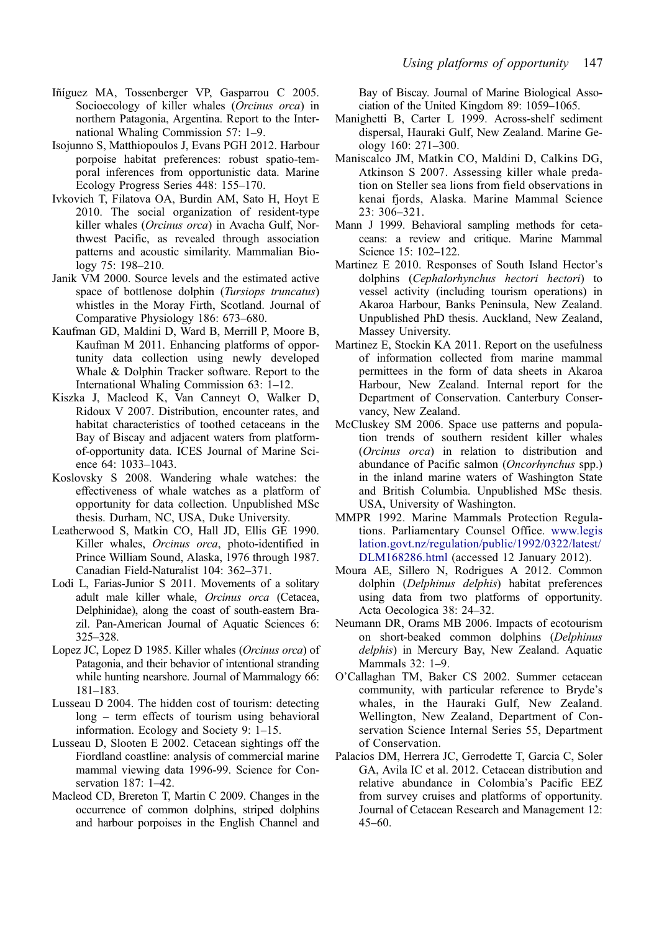- <span id="page-16-0"></span>Iñíguez MA, Tossenberger VP, Gasparrou C 2005. Socioecology of killer whales *(Orcinus orca*) in northern Patagonia, Argentina. Report to the International Whaling Commission 57: 1–9.
- Isojunno S, Matthiopoulos J, Evans PGH 2012. Harbour porpoise habitat preferences: robust spatio-temporal inferences from opportunistic data. Marine Ecology Progress Series 448: 155–170.
- Ivkovich T, Filatova OA, Burdin AM, Sato H, Hoyt E 2010. The social organization of resident-type killer whales (Orcinus orca) in Avacha Gulf, Northwest Pacific, as revealed through association patterns and acoustic similarity. Mammalian Biology 75: 198–210.
- Janik VM 2000. Source levels and the estimated active space of bottlenose dolphin (Tursiops truncatus) whistles in the Moray Firth, Scotland. Journal of Comparative Physiology 186: 673–680.
- Kaufman GD, Maldini D, Ward B, Merrill P, Moore B, Kaufman M 2011. Enhancing platforms of opportunity data collection using newly developed Whale & Dolphin Tracker software. Report to the International Whaling Commission 63: 1–12.
- Kiszka J, Macleod K, Van Canneyt O, Walker D, Ridoux V 2007. Distribution, encounter rates, and habitat characteristics of toothed cetaceans in the Bay of Biscay and adjacent waters from platformof-opportunity data. ICES Journal of Marine Science 64: 1033–1043.
- Koslovsky S 2008. Wandering whale watches: the effectiveness of whale watches as a platform of opportunity for data collection. Unpublished MSc thesis. Durham, NC, USA, Duke University.
- Leatherwood S, Matkin CO, Hall JD, Ellis GE 1990. Killer whales, Orcinus orca, photo-identified in Prince William Sound, Alaska, 1976 through 1987. Canadian Field-Naturalist 104: 362–371.
- Lodi L, Farias-Junior S 2011. Movements of a solitary adult male killer whale, Orcinus orca (Cetacea, Delphinidae), along the coast of south-eastern Brazil. Pan-American Journal of Aquatic Sciences 6: 325–328.
- Lopez JC, Lopez D 1985. Killer whales (Orcinus orca) of Patagonia, and their behavior of intentional stranding while hunting nearshore. Journal of Mammalogy 66: 181–183.
- Lusseau D 2004. The hidden cost of tourism: detecting long – term effects of tourism using behavioral information. Ecology and Society 9: 1–15.
- Lusseau D, Slooten E 2002. Cetacean sightings off the Fiordland coastline: analysis of commercial marine mammal viewing data 1996-99. Science for Conservation 187: 1–42.
- Macleod CD, Brereton T, Martin C 2009. Changes in the occurrence of common dolphins, striped dolphins and harbour porpoises in the English Channel and

Bay of Biscay. Journal of Marine Biological Association of the United Kingdom 89: 1059–1065.

- Manighetti B, Carter L 1999. Across-shelf sediment dispersal, Hauraki Gulf, New Zealand. Marine Ge‐ ology 160: 271–300.
- Maniscalco JM, Matkin CO, Maldini D, Calkins DG, Atkinson S 2007. Assessing killer whale predation on Steller sea lions from field observations in kenai fjords, Alaska. Marine Mammal Science  $23: 306 - 321.$
- Mann J 1999. Behavioral sampling methods for cetaceans: a review and critique. Marine Mammal Science 15: 102–122.
- Martinez E 2010. Responses of South Island Hector's dolphins (Cephalorhynchus hectori hectori) to vessel activity (including tourism operations) in Akaroa Harbour, Banks Peninsula, New Zealand. Unpublished PhD thesis. Auckland, New Zealand, Massey University.
- Martinez E, Stockin KA 2011. Report on the usefulness of information collected from marine mammal permittees in the form of data sheets in Akaroa Harbour, New Zealand. Internal report for the Department of Conservation. Canterbury Conservancy, New Zealand.
- McCluskey SM 2006. Space use patterns and population trends of southern resident killer whales (Orcinus orca) in relation to distribution and abundance of Pacific salmon (Oncorhynchus spp.) in the inland marine waters of Washington State and British Columbia. Unpublished MSc thesis. USA, University of Washington.
- MMPR 1992. Marine Mammals Protection Regulations. Parliamentary Counsel Office. [www.legis](http://www.legislation.govt.nz/regulation/public/1992/0322/latest/DLM168286.html) [lation.govt.nz/regulation/public/1992/0322/latest/](http://www.legislation.govt.nz/regulation/public/1992/0322/latest/DLM168286.html) [DLM168286.html](http://www.legislation.govt.nz/regulation/public/1992/0322/latest/DLM168286.html) (accessed 12 January 2012).
- Moura AE, Sillero N, Rodrigues A 2012. Common dolphin (Delphinus delphis) habitat preferences using data from two platforms of opportunity. Acta Oecologica 38: 24–32.
- Neumann DR, Orams MB 2006. Impacts of ecotourism on short-beaked common dolphins (Delphinus delphis) in Mercury Bay, New Zealand. Aquatic Mammals 32: 1–9.
- O'Callaghan TM, Baker CS 2002. Summer cetacean community, with particular reference to Bryde's whales, in the Hauraki Gulf, New Zealand. Wellington, New Zealand, Department of Conservation Science Internal Series 55, Department of Conservation.
- Palacios DM, Herrera JC, Gerrodette T, Garcia C, Soler GA, Avila IC et al. 2012. Cetacean distribution and relative abundance in Colombia's Pacific EEZ from survey cruises and platforms of opportunity. Journal of Cetacean Research and Management 12: 45–60.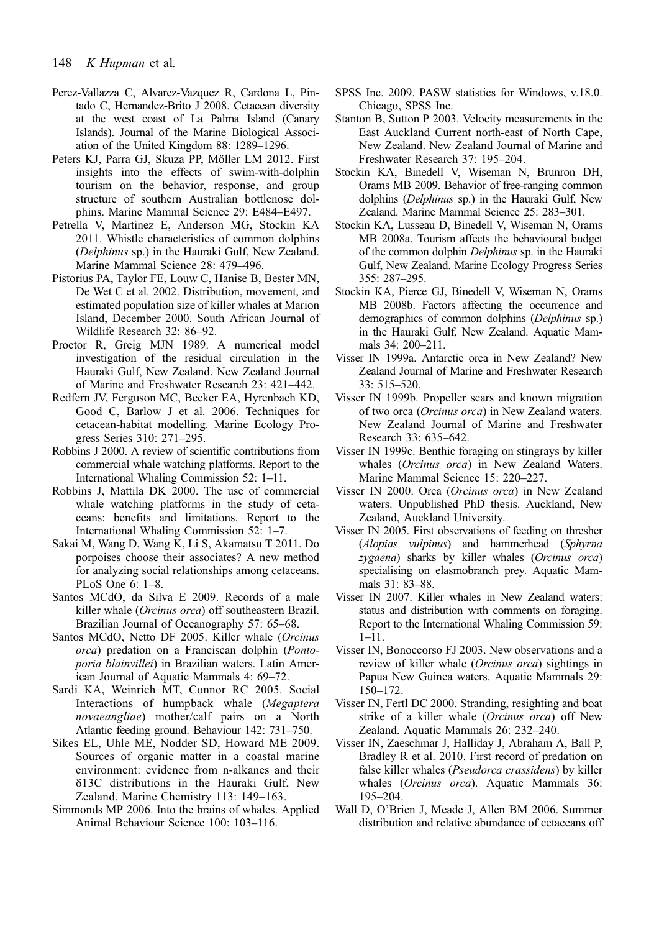- <span id="page-17-0"></span>Perez-Vallazza C, Alvarez-Vazquez R, Cardona L, Pintado C, Hernandez-Brito J 2008. Cetacean diversity at the west coast of La Palma Island (Canary Islands). Journal of the Marine Biological Association of the United Kingdom 88: 1289–1296.
- Peters KJ, Parra GJ, Skuza PP, Möller LM 2012. First insights into the effects of swim-with-dolphin tourism on the behavior, response, and group structure of southern Australian bottlenose dolphins. Marine Mammal Science 29: E484–E497.
- Petrella V, Martinez E, Anderson MG, Stockin KA 2011. Whistle characteristics of common dolphins (Delphinus sp.) in the Hauraki Gulf, New Zealand. Marine Mammal Science 28: 479–496.
- Pistorius PA, Taylor FE, Louw C, Hanise B, Bester MN, De Wet C et al. 2002. Distribution, movement, and estimated population size of killer whales at Marion Island, December 2000. South African Journal of Wildlife Research 32: 86–92.
- Proctor R, Greig MJN 1989. A numerical model investigation of the residual circulation in the Hauraki Gulf, New Zealand. New Zealand Journal of Marine and Freshwater Research 23: 421–442.
- Redfern JV, Ferguson MC, Becker EA, Hyrenbach KD, Good C, Barlow J et al. 2006. Techniques for cetacean-habitat modelling. Marine Ecology Progress Series 310: 271–295.
- Robbins J 2000. A review of scientific contributions from commercial whale watching platforms. Report to the International Whaling Commission 52: 1–11.
- Robbins J, Mattila DK 2000. The use of commercial whale watching platforms in the study of cetaceans: benefits and limitations. Report to the International Whaling Commission 52: 1–7.
- Sakai M, Wang D, Wang K, Li S, Akamatsu T 2011. Do porpoises choose their associates? A new method for analyzing social relationships among cetaceans. PLoS One 6: 1–8.
- Santos MCdO, da Silva E 2009. Records of a male killer whale (Orcinus orca) off southeastern Brazil. Brazilian Journal of Oceanography 57: 65–68.
- Santos MCdO, Netto DF 2005. Killer whale (Orcinus orca) predation on a Franciscan dolphin (Pontoporia blainvillei) in Brazilian waters. Latin American Journal of Aquatic Mammals 4: 69–72.
- Sardi KA, Weinrich MT, Connor RC 2005. Social Interactions of humpback whale (Megaptera novaeangliae) mother/calf pairs on a North Atlantic feeding ground. Behaviour 142: 731–750.
- Sikes EL, Uhle ME, Nodder SD, Howard ME 2009. Sources of organic matter in a coastal marine environment: evidence from n-alkanes and their δ13C distributions in the Hauraki Gulf, New Zealand. Marine Chemistry 113: 149–163.
- Simmonds MP 2006. Into the brains of whales. Applied Animal Behaviour Science 100: 103–116.
- SPSS Inc. 2009. PASW statistics for Windows, v.18.0. Chicago, SPSS Inc.
- Stanton B, Sutton P 2003. Velocity measurements in the East Auckland Current north-east of North Cape, New Zealand. New Zealand Journal of Marine and Freshwater Research 37: 195–204.
- Stockin KA, Binedell V, Wiseman N, Brunron DH, Orams MB 2009. Behavior of free-ranging common dolphins (Delphinus sp.) in the Hauraki Gulf, New Zealand. Marine Mammal Science 25: 283–301.
- Stockin KA, Lusseau D, Binedell V, Wiseman N, Orams MB 2008a. Tourism affects the behavioural budget of the common dolphin Delphinus sp. in the Hauraki Gulf, New Zealand. Marine Ecology Progress Series 355: 287–295.
- Stockin KA, Pierce GJ, Binedell V, Wiseman N, Orams MB 2008b. Factors affecting the occurrence and demographics of common dolphins (Delphinus sp.) in the Hauraki Gulf, New Zealand. Aquatic Mammals  $34 \cdot 200 - 211$ .
- Visser IN 1999a. Antarctic orca in New Zealand? New Zealand Journal of Marine and Freshwater Research 33: 515–520.
- Visser IN 1999b. Propeller scars and known migration of two orca (Orcinus orca) in New Zealand waters. New Zealand Journal of Marine and Freshwater Research 33: 635–642.
- Visser IN 1999c. Benthic foraging on stingrays by killer whales (Orcinus orca) in New Zealand Waters. Marine Mammal Science 15: 220–227.
- Visser IN 2000. Orca (Orcinus orca) in New Zealand waters. Unpublished PhD thesis. Auckland, New Zealand, Auckland University.
- Visser IN 2005. First observations of feeding on thresher (Alopias vulpinus) and hammerhead (Sphyrna zygaena) sharks by killer whales (Orcinus orca) specialising on elasmobranch prey. Aquatic Mammals 31: 83–88.
- Visser IN 2007. Killer whales in New Zealand waters: status and distribution with comments on foraging. Report to the International Whaling Commission 59: 1–11.
- Visser IN, Bonoccorso FJ 2003. New observations and a review of killer whale (*Orcinus orca*) sightings in Papua New Guinea waters. Aquatic Mammals 29: 150–172.
- Visser IN, Fertl DC 2000. Stranding, resighting and boat strike of a killer whale (Orcinus orca) off New Zealand. Aquatic Mammals 26: 232–240.
- Visser IN, Zaeschmar J, Halliday J, Abraham A, Ball P, Bradley R et al. 2010. First record of predation on false killer whales (Pseudorca crassidens) by killer whales (Orcinus orca). Aquatic Mammals 36: 195–204.
- Wall D, O'Brien J, Meade J, Allen BM 2006. Summer distribution and relative abundance of cetaceans off